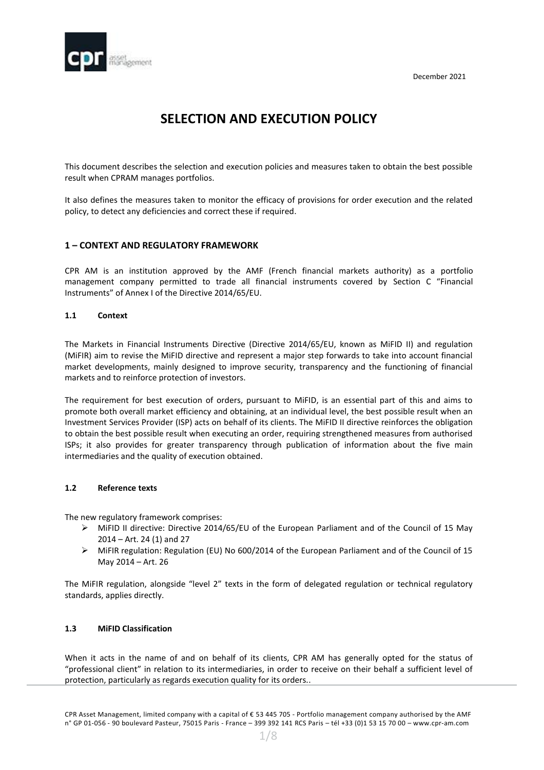

# **SELECTION AND EXECUTION POLICY**

This document describes the selection and execution policies and measures taken to obtain the best possible result when CPRAM manages portfolios.

It also defines the measures taken to monitor the efficacy of provisions for order execution and the related policy, to detect any deficiencies and correct these if required.

## **1 – CONTEXT AND REGULATORY FRAMEWORK**

CPR AM is an institution approved by the AMF (French financial markets authority) as a portfolio management company permitted to trade all financial instruments covered by Section C "Financial Instruments" of Annex I of the Directive 2014/65/EU.

## **1.1 Context**

The Markets in Financial Instruments Directive (Directive 2014/65/EU, known as MiFID II) and regulation (MiFIR) aim to revise the MiFID directive and represent a major step forwards to take into account financial market developments, mainly designed to improve security, transparency and the functioning of financial markets and to reinforce protection of investors.

The requirement for best execution of orders, pursuant to MiFID, is an essential part of this and aims to promote both overall market efficiency and obtaining, at an individual level, the best possible result when an Investment Services Provider (ISP) acts on behalf of its clients. The MiFID II directive reinforces the obligation to obtain the best possible result when executing an order, requiring strengthened measures from authorised ISPs; it also provides for greater transparency through publication of information about the five main intermediaries and the quality of execution obtained.

## **1.2 Reference texts**

The new regulatory framework comprises:

- $\triangleright$  MiFID II directive: Directive 2014/65/EU of the European Parliament and of the Council of 15 May 2014 – Art. 24 (1) and 27
- MiFIR regulation: Regulation (EU) No 600/2014 of the European Parliament and of the Council of 15 May 2014 – Art. 26

The MiFIR regulation, alongside "level 2" texts in the form of delegated regulation or technical regulatory standards, applies directly.

## **1.3 MiFID Classification**

When it acts in the name of and on behalf of its clients, CPR AM has generally opted for the status of "professional client" in relation to its intermediaries, in order to receive on their behalf a sufficient level of protection, particularly as regards execution quality for its orders..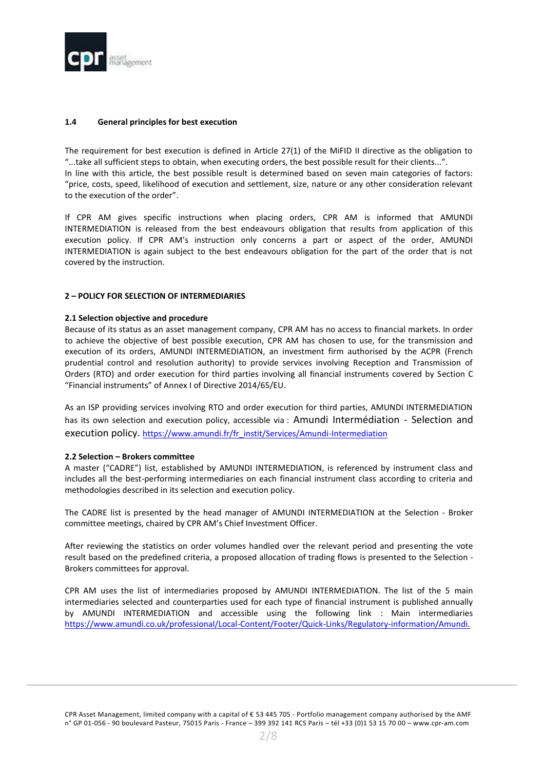

## **1.4 General principles for best execution**

The requirement for best execution is defined in Article 27(1) of the MiFID II directive as the obligation to "...take all sufficient steps to obtain, when executing orders, the best possible result for their clients...". In line with this article, the best possible result is determined based on seven main categories of factors: "price, costs, speed, likelihood of execution and settlement, size, nature or any other consideration relevant to the execution of the order".

If CPR AM gives specific instructions when placing orders, CPR AM is informed that AMUNDI INTERMEDIATION is released from the best endeavours obligation that results from application of this execution policy. If CPR AM's instruction only concerns a part or aspect of the order, AMUNDI INTERMEDIATION is again subject to the best endeavours obligation for the part of the order that is not covered by the instruction.

## **2 – POLICY FOR SELECTION OF INTERMEDIARIES**

## **2.1 Selection objective and procedure**

Because of its status as an asset management company, CPR AM has no access to financial markets. In order to achieve the objective of best possible execution, CPR AM has chosen to use, for the transmission and execution of its orders, AMUNDI INTERMEDIATION, an investment firm authorised by the ACPR (French prudential control and resolution authority) to provide services involving Reception and Transmission of Orders (RTO) and order execution for third parties involving all financial instruments covered by Section C "Financial instruments" of Annex I of Directive 2014/65/EU.

As an ISP providing services involving RTO and order execution for third parties, AMUNDI INTERMEDIATION has its own selection and execution policy, accessible via : Amundi Intermédiation - Selection and execution policy. [https://www.amundi.fr/fr\\_instit/Services/Amundi-Intermediation](https://www.amundi.fr/fr_instit/Services/Amundi-Intermediation)

## **2.2 Selection – Brokers committee**

A master ("CADRE") list, established by AMUNDI INTERMEDIATION, is referenced by instrument class and includes all the best-performing intermediaries on each financial instrument class according to criteria and methodologies described in its selection and execution policy.

The CADRE list is presented by the head manager of AMUNDI INTERMEDIATION at the Selection - Broker committee meetings, chaired by CPR AM's Chief Investment Officer.

After reviewing the statistics on order volumes handled over the relevant period and presenting the vote result based on the predefined criteria, a proposed allocation of trading flows is presented to the Selection - Brokers committees for approval.

CPR AM uses the list of intermediaries proposed by AMUNDI INTERMEDIATION. The list of the 5 main intermediaries selected and counterparties used for each type of financial instrument is published annually by AMUNDI INTERMEDIATION and accessible using the following link : [Main intermediaries](Draft%202021%2012_Selection%20and%20Execution%20Policy%20CPR%20AM_vers%20-%20Copy.docx) <https://www.amundi.co.uk/professional/Local-Content/Footer/Quick-Links/Regulatory-information/Amundi.>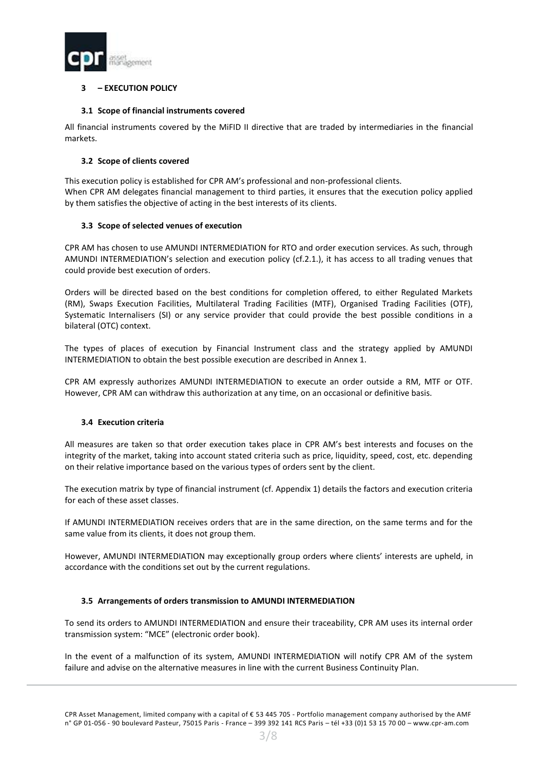

# **3 – EXECUTION POLICY**

## **3.1 Scope of financial instruments covered**

All financial instruments covered by the MiFID II directive that are traded by intermediaries in the financial markets.

## **3.2 Scope of clients covered**

This execution policy is established for CPR AM's professional and non-professional clients. When CPR AM delegates financial management to third parties, it ensures that the execution policy applied by them satisfies the objective of acting in the best interests of its clients.

## **3.3 Scope of selected venues of execution**

CPR AM has chosen to use AMUNDI INTERMEDIATION for RTO and order execution services. As such, through AMUNDI INTERMEDIATION's selection and execution policy (cf.2.1.), it has access to all trading venues that could provide best execution of orders.

Orders will be directed based on the best conditions for completion offered, to either Regulated Markets (RM), Swaps Execution Facilities, Multilateral Trading Facilities (MTF), Organised Trading Facilities (OTF), Systematic Internalisers (SI) or any service provider that could provide the best possible conditions in a bilateral (OTC) context.

The types of places of execution by Financial Instrument class and the strategy applied by AMUNDI INTERMEDIATION to obtain the best possible execution are described in Annex 1.

CPR AM expressly authorizes AMUNDI INTERMEDIATION to execute an order outside a RM, MTF or OTF. However, CPR AM can withdraw this authorization at any time, on an occasional or definitive basis.

## **3.4 Execution criteria**

All measures are taken so that order execution takes place in CPR AM's best interests and focuses on the integrity of the market, taking into account stated criteria such as price, liquidity, speed, cost, etc. depending on their relative importance based on the various types of orders sent by the client.

The execution matrix by type of financial instrument (cf. Appendix 1) details the factors and execution criteria for each of these asset classes.

If AMUNDI INTERMEDIATION receives orders that are in the same direction, on the same terms and for the same value from its clients, it does not group them.

However, AMUNDI INTERMEDIATION may exceptionally group orders where clients' interests are upheld, in accordance with the conditions set out by the current regulations.

## **3.5 Arrangements of orders transmission to AMUNDI INTERMEDIATION**

To send its orders to AMUNDI INTERMEDIATION and ensure their traceability, CPR AM uses its internal order transmission system: "MCE" (electronic order book).

In the event of a malfunction of its system, AMUNDI INTERMEDIATION will notify CPR AM of the system failure and advise on the alternative measures in line with the current Business Continuity Plan.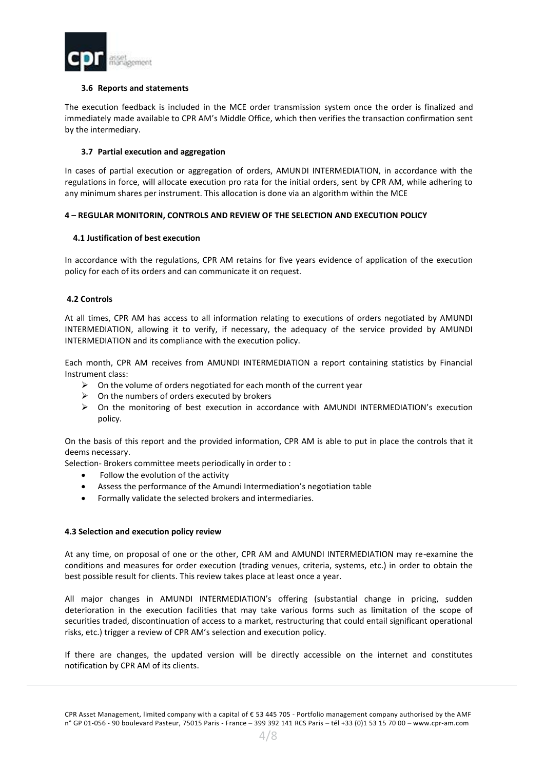

## **3.6 Reports and statements**

The execution feedback is included in the MCE order transmission system once the order is finalized and immediately made available to CPR AM's Middle Office, which then verifies the transaction confirmation sent by the intermediary.

## **3.7 Partial execution and aggregation**

In cases of partial execution or aggregation of orders, AMUNDI INTERMEDIATION, in accordance with the regulations in force, will allocate execution pro rata for the initial orders, sent by CPR AM, while adhering to any minimum shares per instrument. This allocation is done via an algorithm within the MCE

#### **4 – REGULAR MONITORIN, CONTROLS AND REVIEW OF THE SELECTION AND EXECUTION POLICY**

#### **4.1 Justification of best execution**

In accordance with the regulations, CPR AM retains for five years evidence of application of the execution policy for each of its orders and can communicate it on request.

#### **4.2 Controls**

At all times, CPR AM has access to all information relating to executions of orders negotiated by AMUNDI INTERMEDIATION, allowing it to verify, if necessary, the adequacy of the service provided by AMUNDI INTERMEDIATION and its compliance with the execution policy.

Each month, CPR AM receives from AMUNDI INTERMEDIATION a report containing statistics by Financial Instrument class:

- $\triangleright$  On the volume of orders negotiated for each month of the current year
- $\triangleright$  On the numbers of orders executed by brokers
- On the monitoring of best execution in accordance with AMUNDI INTERMEDIATION's execution policy.

On the basis of this report and the provided information, CPR AM is able to put in place the controls that it deems necessary.

Selection- Brokers committee meets periodically in order to :

- Follow the evolution of the activity
- Assess the performance of the Amundi Intermediation's negotiation table
- Formally validate the selected brokers and intermediaries.

#### **4.3 Selection and execution policy review**

At any time, on proposal of one or the other, CPR AM and AMUNDI INTERMEDIATION may re-examine the conditions and measures for order execution (trading venues, criteria, systems, etc.) in order to obtain the best possible result for clients. This review takes place at least once a year.

All major changes in AMUNDI INTERMEDIATION's offering (substantial change in pricing, sudden deterioration in the execution facilities that may take various forms such as limitation of the scope of securities traded, discontinuation of access to a market, restructuring that could entail significant operational risks, etc.) trigger a review of CPR AM's selection and execution policy.

If there are changes, the updated version will be directly accessible on the internet and constitutes notification by CPR AM of its clients.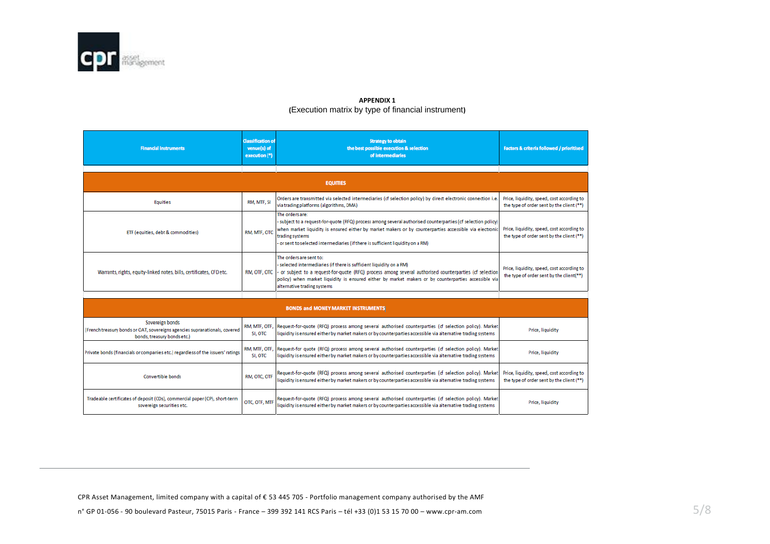

#### **APPENDIX 1 (**Execution matrix by type of financial instrument**)**

| <b>Financial instruments</b>                                                                                                 | <b>Classification of</b><br>venue(s) of<br>execution (*) | <b>Strategy to obtain</b><br>the best possible execution & selection<br>of intermediaries                                                                                                                                                                                                                                                        | <b>Factors &amp; criteria followed / prioritised</b>                                    |  |
|------------------------------------------------------------------------------------------------------------------------------|----------------------------------------------------------|--------------------------------------------------------------------------------------------------------------------------------------------------------------------------------------------------------------------------------------------------------------------------------------------------------------------------------------------------|-----------------------------------------------------------------------------------------|--|
|                                                                                                                              |                                                          | <b>EQUITIES</b>                                                                                                                                                                                                                                                                                                                                  |                                                                                         |  |
|                                                                                                                              |                                                          |                                                                                                                                                                                                                                                                                                                                                  |                                                                                         |  |
| <b>Equities</b>                                                                                                              | RM, MTF, SI                                              | Orders are transmitted via selected intermediaries (cf selection policy) by direct electronic connection i.e.<br>via trading platforms (algorithms, DMA)                                                                                                                                                                                         | Price, liquidity, speed, cost according to<br>the type of order sent by the client (**) |  |
| ETF (equities, debt & commodities)                                                                                           | RM, MTF, OTC                                             | The orders are:<br>- subject to a request-for-quote (RFQ) process among several authorised counterparties (cf selection policy)<br>when market liquidity is ensured either by market makers or by counterparties accessible via electronic<br>trading systems<br>- or sent to selected intermediaries (if there is sufficient liquidity on a RM) | Price, liquidity, speed, cost according to<br>the type of order sent by the client (**) |  |
| Warrants, rights, equity-linked notes, bills, certificates, CFD etc.                                                         | RM, OTF, OTC                                             | The orders are sent to:<br>- selected intermediaries (if there is sufficient liquidity on a RM)<br>or subject to a request-for-quote (RFQ) process among several authorised counterparties (cf selection<br>policy) when market liquidity is ensured either by market makers or by counterparties accessible via<br>alternative trading systems  | Price, liquidity, speed, cost according to<br>the type of order sent by the client(**)  |  |
|                                                                                                                              |                                                          |                                                                                                                                                                                                                                                                                                                                                  |                                                                                         |  |
| <b>BONDS and MONEY MARKET INSTRUMENTS</b>                                                                                    |                                                          |                                                                                                                                                                                                                                                                                                                                                  |                                                                                         |  |
| Sovereign bonds<br>(French treasury bonds or OAT, sovereigns agencies supranationals, covered<br>bonds, treasury bonds etc.) | RM, MTF, OTF,<br>SI, OTC                                 | Request-for-quote (RFQ) process among several authorised counterparties (cf selection policy). Market<br>liquidity is ensured either by market makers or by counterparties accessible via alternative trading systems                                                                                                                            | Price, liquidity                                                                        |  |
| Private bonds (financials or companies etc.) regardless of the issuers' ratings                                              | RM, MTF, OTF.<br>SI, OTC                                 | Request-for quote (RFQ) process among several authorised counterparties (cf selection policy). Market<br>liquidity is ensured either by market makers or by counterparties accessible via alternative trading systems                                                                                                                            | Price, liquidity                                                                        |  |
| Convertible bonds                                                                                                            | RM, OTC, OTF                                             | Request-for-quote (RFQ) process among several authorised counterparties (cf selection policy). Market<br>liquidity is ensured either by market makers or by counterparties accessible via alternative trading systems                                                                                                                            | Price, liquidity, speed, cost according to<br>the type of order sent by the client (**) |  |
| Tradeable certificates of deposit (CDs), commercial paper (CP), short-term<br>sovereign securities etc.                      | OTC, OTF, MTF                                            | Request-for-quote (RFQ) process among several authorised counterparties (cf selection policy). Market<br>liquidity is ensured either by market makers or by counterparties accessible via alternative trading systems                                                                                                                            | Price, liquidity                                                                        |  |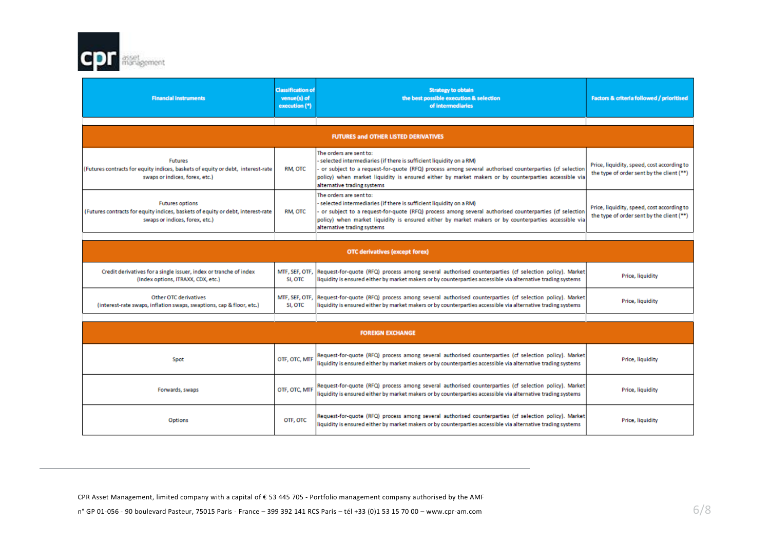

| <b>Financial instruments</b>                                                                                                                | <b>Classification of</b><br>venue(s) of<br>execution (*) | <b>Strategy to obtain</b><br>the best possible execution & selection<br>of intermediaries                                                                                                                                                                                                                                                         | <b>Factors &amp; criteria followed / prioritised</b>                                    |  |
|---------------------------------------------------------------------------------------------------------------------------------------------|----------------------------------------------------------|---------------------------------------------------------------------------------------------------------------------------------------------------------------------------------------------------------------------------------------------------------------------------------------------------------------------------------------------------|-----------------------------------------------------------------------------------------|--|
|                                                                                                                                             |                                                          |                                                                                                                                                                                                                                                                                                                                                   |                                                                                         |  |
| <b>FUTURES and OTHER LISTED DERIVATIVES</b>                                                                                                 |                                                          |                                                                                                                                                                                                                                                                                                                                                   |                                                                                         |  |
| <b>Futures</b><br>(Futures contracts for equity indices, baskets of equity or debt, interest-rate)<br>swaps or indices, forex, etc.)        | RM, OTC                                                  | The orders are sent to:<br>- selected intermediaries (if there is sufficient liquidity on a RM)<br>- or subject to a request-for-quote (RFQ) process among several authorised counterparties (cf selection<br>policy) when market liquidity is ensured either by market makers or by counterparties accessible via<br>alternative trading systems | Price, liquidity, speed, cost according to<br>the type of order sent by the client (**) |  |
| <b>Futures options</b><br>(Futures contracts for equity indices, baskets of equity or debt, interest-rate<br>swaps or indices, forex, etc.) | RM, OTC                                                  | The orders are sent to:<br>selected intermediaries (if there is sufficient liquidity on a RM)<br>or subject to a request-for-quote (RFQ) process among several authorised counterparties (cf selection<br>policy) when market liquidity is ensured either by market makers or by counterparties accessible via<br>alternative trading systems     | Price, liquidity, speed, cost according to<br>the type of order sent by the client (**) |  |

| <b>OTC derivatives (except forex)</b>                                                                   |         |                                                                                                                                                                                                                                      |                  |
|---------------------------------------------------------------------------------------------------------|---------|--------------------------------------------------------------------------------------------------------------------------------------------------------------------------------------------------------------------------------------|------------------|
| Credit derivatives for a single issuer, index or tranche of index<br>(Index options, ITRAXX, CDX, etc.) | SI, OTC | MTF, SEF, OTF, Request-for-quote (RFQ) process among several authorised counterparties (cf selection policy). Market<br>liquidity is ensured either by market makers or by counterparties accessible via alternative trading systems | Price, liquidity |
| Other OTC derivatives<br>(interest-rate swaps, inflation swaps, swaptions, cap & floor, etc.)           | SI, OTC | MTF, SEF, OTF, Request-for-quote (RFQ) process among several authorised counterparties (cf selection policy). Market<br>liquidity is ensured either by market makers or by counterparties accessible via alternative trading systems | Price, liquidity |

|                 |               | <b>FOREIGN EXCHANGE</b>                                                                                                                                                                                               |                  |
|-----------------|---------------|-----------------------------------------------------------------------------------------------------------------------------------------------------------------------------------------------------------------------|------------------|
| Spot            | OTF, OTC, MTF | Request-for-quote (RFQ) process among several authorised counterparties (cf selection policy). Market<br>liquidity is ensured either by market makers or by counterparties accessible via alternative trading systems | Price, liquidity |
| Forwards, swaps | OTF, OTC, MTF | Request-for-quote (RFQ) process among several authorised counterparties (cf selection policy). Market<br>liquidity is ensured either by market makers or by counterparties accessible via alternative trading systems | Price, liquidity |
| Options         | OTF, OTC      | Request-for-quote (RFQ) process among several authorised counterparties (cf selection policy). Market<br>liquidity is ensured either by market makers or by counterparties accessible via alternative trading systems | Price, liquidity |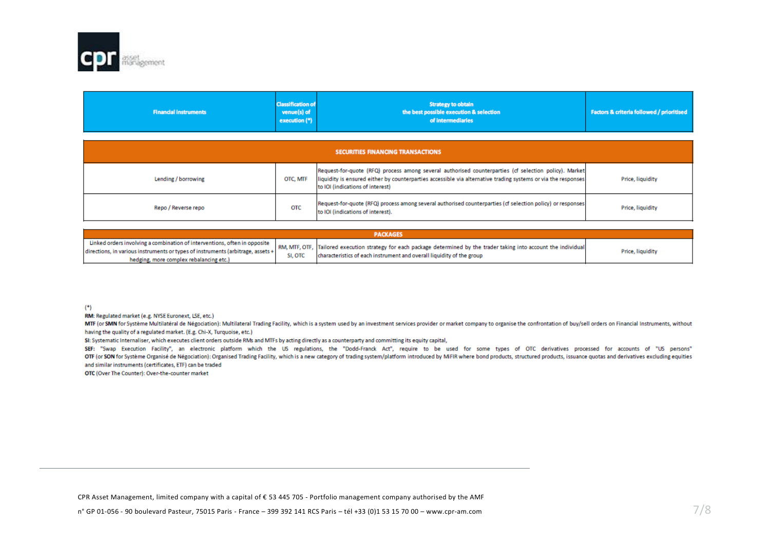

| <b>Financial instruments</b>             | <b>Classification of</b><br>venue(s) of<br>execution (*) | <b>Strategy to obtain</b><br>the best possible execution & selection<br>of intermediaries                                                                                                                                                                  | <b>Factors &amp; criteria followed / prioritised</b> |  |
|------------------------------------------|----------------------------------------------------------|------------------------------------------------------------------------------------------------------------------------------------------------------------------------------------------------------------------------------------------------------------|------------------------------------------------------|--|
| <b>SECURITIES FINANCING TRANSACTIONS</b> |                                                          |                                                                                                                                                                                                                                                            |                                                      |  |
| Lending / borrowing                      | OTC, MTF                                                 | Request-for-quote (RFQ) process among several authorised counterparties (cf selection policy). Market<br>liquidity is ensured either by counterparties accessible via alternative trading systems or via the responses<br>to IOI (indications of interest) | Price, liquidity                                     |  |
| Repo / Reverse repo                      | <b>OTC</b>                                               | Request-for-quote (RFQ) process among several authorised counterparties (cf selection policy) or responses<br>to IOI (indications of interest).                                                                                                            | Price, liquidity                                     |  |

| <b>PACKAGES</b>                                                                                                                                                                                         |         |                                                                                                                                                                                                 |                  |  |
|---------------------------------------------------------------------------------------------------------------------------------------------------------------------------------------------------------|---------|-------------------------------------------------------------------------------------------------------------------------------------------------------------------------------------------------|------------------|--|
| Linked orders involving a combination of interventions, often in opposite<br>directions, in various instruments or types of instruments (arbitrage, assets +<br>hedging, more complex rebalancing etc.) | SI, OTC | RM, MTF, OTF, Tailored execution strategy for each package determined by the trader taking into account the individual<br>characteristics of each instrument and overall liquidity of the group | Price, liquidity |  |

 $(*)$ 

RM: Regulated market (e.g. NYSE Euronext, LSE, etc.)

MTF (or SMN for Système Multilatéral de Négociation): Multilateral Trading Facility, which is a system used by an investment services provider or market company to organise the confrontation of buy/sell orders on Financial having the quality of a regulated market. (E.g. Chi-X, Turquoise, etc.)

SI: Systematic Internaliser, which executes client orders outside RMs and MTFs by acting directly as a counterparty and committing its equity capital,

SEF: "Swap Execution Facility", an electronic platform which the US regulations, the "Dodd-Franck Act", require to be used for some types of OTC derivatives processed for accounts of "US persons" OTF (or SON for Système Organisé de Négociation): Organised Trading Facility, which is a new category of trading system/platform introduced by MiFIR where bond products, structured products, issuance quotas and derivatives and similar instruments (certificates, ETF) can be traded

OTC (Over The Counter): Over-the-counter market